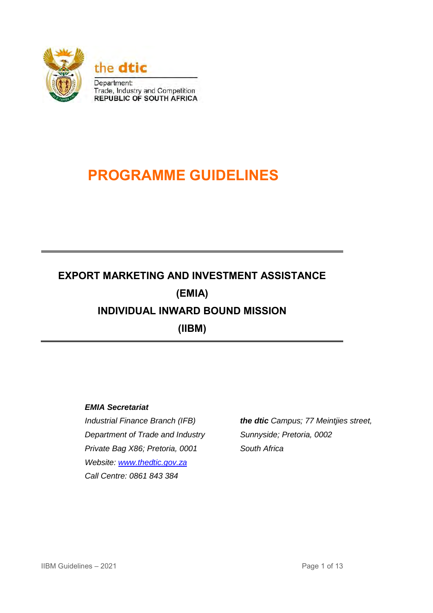

# **PROGRAMME GUIDELINES**

## **EXPORT MARKETING AND INVESTMENT ASSISTANCE (EMIA) INDIVIDUAL INWARD BOUND MISSION (IIBM)**

## *EMIA Secretariat*

*Industrial Finance Branch (IFB) Department of Trade and Industry Private Bag X86; Pretoria, 0001 Website: [www.thedtic.gov.za](http://www.thedti.gov.za/) Call Centre: 0861 843 384* 

*the dtic Campus; 77 Meintjies street, Sunnyside; Pretoria, 0002 South Africa*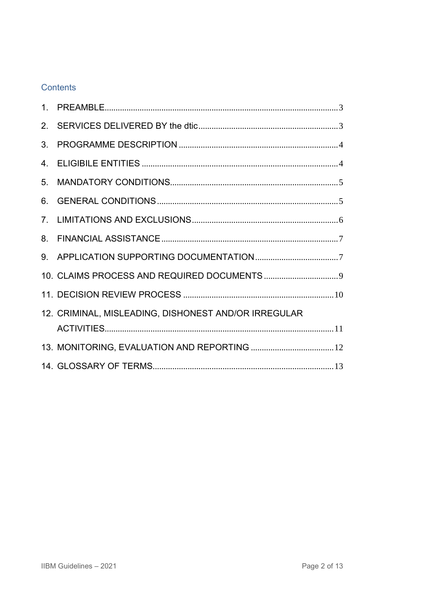## **Contents**

| 2.             |                                                      |
|----------------|------------------------------------------------------|
| 3              |                                                      |
| 4.             |                                                      |
| 5 <sub>1</sub> |                                                      |
| 6.             |                                                      |
| 7 <sub>1</sub> |                                                      |
| 8.             |                                                      |
| 9.             |                                                      |
|                |                                                      |
|                |                                                      |
|                | 12. CRIMINAL, MISLEADING, DISHONEST AND/OR IRREGULAR |
|                |                                                      |
|                |                                                      |
|                |                                                      |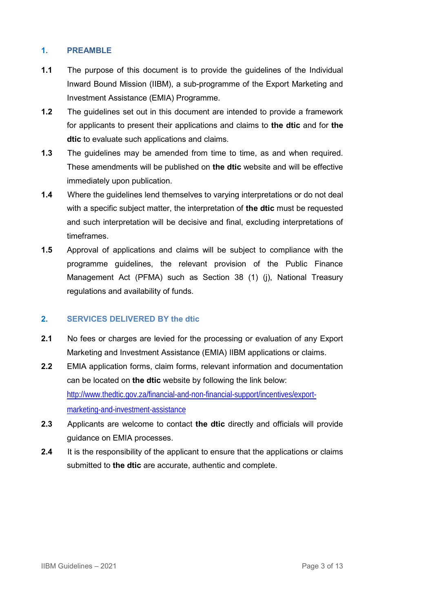#### <span id="page-2-0"></span>**1. PREAMBLE**

- **1.1** The purpose of this document is to provide the guidelines of the Individual Inward Bound Mission (IIBM), a sub-programme of the Export Marketing and Investment Assistance (EMIA) Programme.
- **1.2** The guidelines set out in this document are intended to provide a framework for applicants to present their applications and claims to **the dtic** and for **the dtic** to evaluate such applications and claims.
- **1.3** The guidelines may be amended from time to time, as and when required. These amendments will be published on **the dtic** website and will be effective immediately upon publication.
- **1.4** Where the guidelines lend themselves to varying interpretations or do not deal with a specific subject matter, the interpretation of **the dtic** must be requested and such interpretation will be decisive and final, excluding interpretations of timeframes.
- **1.5** Approval of applications and claims will be subject to compliance with the programme guidelines, the relevant provision of the Public Finance Management Act (PFMA) such as Section 38 (1) (j), National Treasury regulations and availability of funds.

#### <span id="page-2-1"></span>**2. SERVICES DELIVERED BY the dtic**

- **2.1** No fees or charges are levied for the processing or evaluation of any Export Marketing and Investment Assistance (EMIA) IIBM applications or claims.
- **2.2** EMIA application forms, claim forms, relevant information and documentation can be located on **the dtic** website by following the link below: [http://www.thedtic.gov.za/financial-and-non-financial-support/incentives/export](http://www.thedtic.gov.za/financial-and-non-financial-support/incentives/export-marketing-and-investment-assistance)[marketing-and-investment-assistance](http://www.thedtic.gov.za/financial-and-non-financial-support/incentives/export-marketing-and-investment-assistance)
- **2.3** Applicants are welcome to contact **the dtic** directly and officials will provide guidance on EMIA processes.
- **2.4** It is the responsibility of the applicant to ensure that the applications or claims submitted to **the dtic** are accurate, authentic and complete.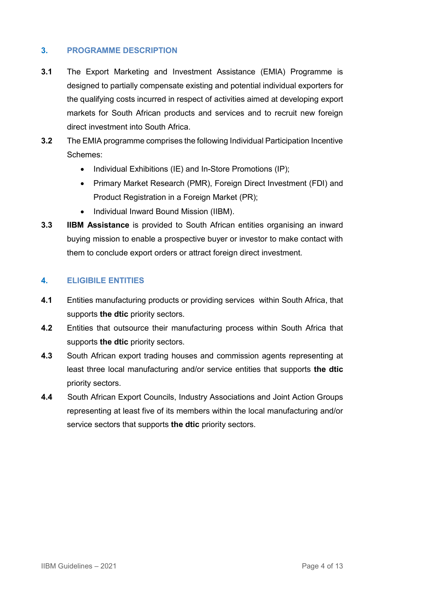#### <span id="page-3-0"></span>**3. PROGRAMME DESCRIPTION**

- **3.1** The Export Marketing and Investment Assistance (EMIA) Programme is designed to partially compensate existing and potential individual exporters for the qualifying costs incurred in respect of activities aimed at developing export markets for South African products and services and to recruit new foreign direct investment into South Africa.
- **3.2** The EMIA programme comprises the following Individual Participation Incentive Schemes:
	- Individual Exhibitions (IE) and In-Store Promotions (IP);
	- Primary Market Research (PMR), Foreign Direct Investment (FDI) and Product Registration in a Foreign Market (PR);
	- Individual Inward Bound Mission (IIBM).
- **3.3 IIBM Assistance** is provided to South African entities organising an inward buying mission to enable a prospective buyer or investor to make contact with them to conclude export orders or attract foreign direct investment.

#### <span id="page-3-1"></span>**4. ELIGIBILE ENTITIES**

- **4.1** Entities manufacturing products or providing services within South Africa, that supports **the dtic** priority sectors.
- **4.2** Entities that outsource their manufacturing process within South Africa that supports **the dtic** priority sectors.
- **4.3** South African export trading houses and commission agents representing at least three local manufacturing and/or service entities that supports **the dtic** priority sectors.
- **4.4** South African Export Councils, Industry Associations and Joint Action Groups representing at least five of its members within the local manufacturing and/or service sectors that supports **the dtic** priority sectors.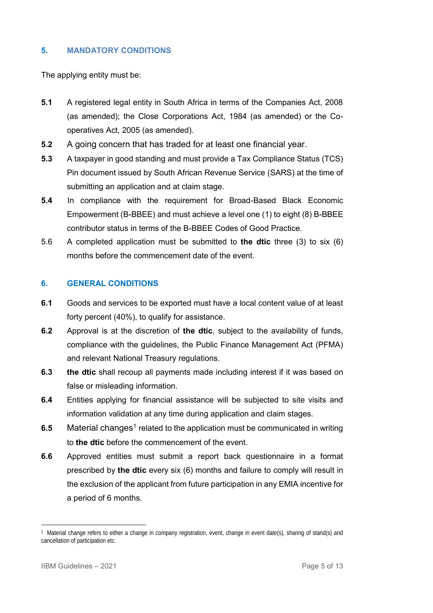#### <span id="page-4-0"></span>**5. MANDATORY CONDITIONS**

The applying entity must be:

- **5.1** A registered legal entity in South Africa in terms of the Companies Act, 2008 (as amended); the Close Corporations Act, 1984 (as amended) or the Cooperatives Act, 2005 (as amended).
- **5.2** A going concern that has traded for at least one financial year.
- **5.3** A taxpayer in good standing and must provide a Tax Compliance Status (TCS) Pin document issued by South African Revenue Service (SARS) at the time of submitting an application and at claim stage.
- **5.4** In compliance with the requirement for Broad-Based Black Economic Empowerment (B-BBEE) and must achieve a level one (1) to eight (8) B-BBEE contributor status in terms of the B-BBEE Codes of Good Practice.
- 5.6 A completed application must be submitted to **the dtic** three (3) to six (6) months before the commencement date of the event.

#### <span id="page-4-1"></span>**6. GENERAL CONDITIONS**

- **6.1** Goods and services to be exported must have a local content value of at least forty percent (40%), to qualify for assistance.
- **6.2** Approval is at the discretion of **the dtic**, subject to the availability of funds, compliance with the guidelines, the Public Finance Management Act (PFMA) and relevant National Treasury regulations.
- **6.3 the dtic** shall recoup all payments made including interest if it was based on false or misleading information.
- **6.4** Entities applying for financial assistance will be subjected to site visits and information validation at any time during application and claim stages.
- **6.5** Material changes<sup>1</sup> related to the application must be communicated in writing to **the dtic** before the commencement of the event.
- **6.6** Approved entities must submit a report back questionnaire in a format prescribed by **the dtic** every six (6) months and failure to comply will result in the exclusion of the applicant from future participation in any EMIA incentive for a period of 6 months.

<u>.</u>

<sup>1</sup> Material change refers to either a change in company registration, event, change in event date(s), sharing of stand(s) and cancellation of participation etc.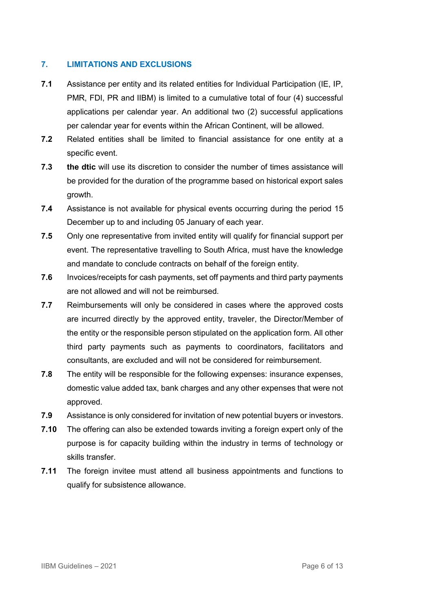#### <span id="page-5-0"></span>**7. LIMITATIONS AND EXCLUSIONS**

- **7.1** Assistance per entity and its related entities for Individual Participation (IE, IP, PMR, FDI, PR and IIBM) is limited to a cumulative total of four (4) successful applications per calendar year. An additional two (2) successful applications per calendar year for events within the African Continent, will be allowed.
- **7.2** Related entities shall be limited to financial assistance for one entity at a specific event.
- **7.3 the dtic** will use its discretion to consider the number of times assistance will be provided for the duration of the programme based on historical export sales growth.
- **7.4** Assistance is not available for physical events occurring during the period 15 December up to and including 05 January of each year.
- **7.5** Only one representative from invited entity will qualify for financial support per event. The representative travelling to South Africa, must have the knowledge and mandate to conclude contracts on behalf of the foreign entity.
- **7.6** Invoices/receipts for cash payments, set off payments and third party payments are not allowed and will not be reimbursed.
- **7.7** Reimbursements will only be considered in cases where the approved costs are incurred directly by the approved entity, traveler, the Director/Member of the entity or the responsible person stipulated on the application form. All other third party payments such as payments to coordinators, facilitators and consultants, are excluded and will not be considered for reimbursement.
- **7.8** The entity will be responsible for the following expenses: insurance expenses, domestic value added tax, bank charges and any other expenses that were not approved.
- **7.9** Assistance is only considered for invitation of new potential buyers or investors.
- **7.10** The offering can also be extended towards inviting a foreign expert only of the purpose is for capacity building within the industry in terms of technology or skills transfer.
- **7.11** The foreign invitee must attend all business appointments and functions to qualify for subsistence allowance.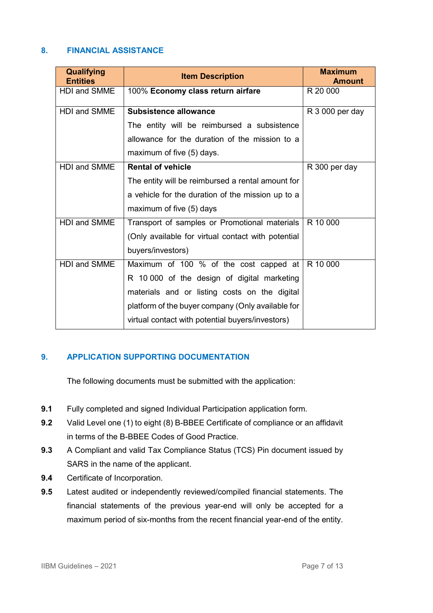#### <span id="page-6-0"></span>**8. FINANCIAL ASSISTANCE**

| Qualifying<br><b>Entities</b> | <b>Item Description</b>                            | <b>Maximum</b><br><b>Amount</b> |
|-------------------------------|----------------------------------------------------|---------------------------------|
| <b>HDI and SMME</b>           | 100% Economy class return airfare                  | R 20 000                        |
| <b>HDI and SMME</b>           | <b>Subsistence allowance</b>                       | R 3 000 per day                 |
|                               | The entity will be reimbursed a subsistence        |                                 |
|                               | allowance for the duration of the mission to a     |                                 |
|                               | maximum of five (5) days.                          |                                 |
| <b>HDI and SMME</b>           | <b>Rental of vehicle</b>                           | R 300 per day                   |
|                               | The entity will be reimbursed a rental amount for  |                                 |
|                               | a vehicle for the duration of the mission up to a  |                                 |
|                               | maximum of five (5) days                           |                                 |
| HDI and SMME                  | Transport of samples or Promotional materials      | R 10 000                        |
|                               | (Only available for virtual contact with potential |                                 |
|                               | buyers/investors)                                  |                                 |
| HDI and SMME                  | Maximum of 100 % of the cost capped at             | R 10 000                        |
|                               | R 10 000 of the design of digital marketing        |                                 |
|                               | materials and or listing costs on the digital      |                                 |
|                               | platform of the buyer company (Only available for  |                                 |
|                               | virtual contact with potential buyers/investors)   |                                 |

### <span id="page-6-1"></span>**9. APPLICATION SUPPORTING DOCUMENTATION**

The following documents must be submitted with the application:

- **9.1** Fully completed and signed Individual Participation application form.
- **9.2** Valid Level one (1) to eight (8) B-BBEE Certificate of compliance or an affidavit in terms of the B-BBEE Codes of Good Practice.
- **9.3** A Compliant and valid Tax Compliance Status (TCS) Pin document issued by SARS in the name of the applicant.
- **9.4** Certificate of Incorporation.
- **9.5** Latest audited or independently reviewed/compiled financial statements. The financial statements of the previous year-end will only be accepted for a maximum period of six-months from the recent financial year-end of the entity.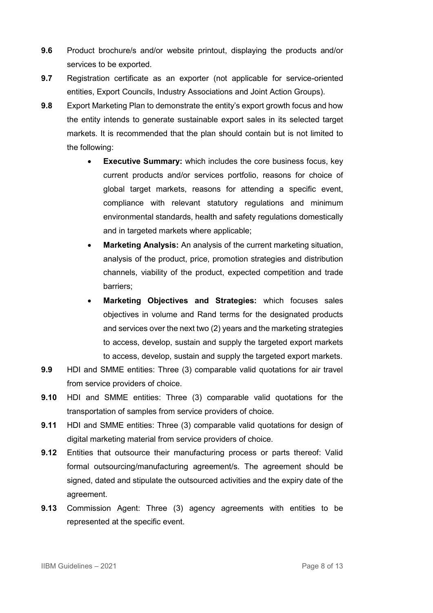- **9.6** Product brochure/s and/or website printout, displaying the products and/or services to be exported.
- **9.7** Registration certificate as an exporter (not applicable for service-oriented entities, Export Councils, Industry Associations and Joint Action Groups).
- **9.8** Export Marketing Plan to demonstrate the entity's export growth focus and how the entity intends to generate sustainable export sales in its selected target markets. It is recommended that the plan should contain but is not limited to the following:
	- **Executive Summary:** which includes the core business focus, key current products and/or services portfolio, reasons for choice of global target markets, reasons for attending a specific event, compliance with relevant statutory regulations and minimum environmental standards, health and safety regulations domestically and in targeted markets where applicable;
	- **Marketing Analysis:** An analysis of the current marketing situation, analysis of the product, price, promotion strategies and distribution channels, viability of the product, expected competition and trade barriers;
	- **Marketing Objectives and Strategies:** which focuses sales objectives in volume and Rand terms for the designated products and services over the next two (2) years and the marketing strategies to access, develop, sustain and supply the targeted export markets to access, develop, sustain and supply the targeted export markets.
- **9.9** HDI and SMME entities: Three (3) comparable valid quotations for air travel from service providers of choice.
- **9.10** HDI and SMME entities: Three (3) comparable valid quotations for the transportation of samples from service providers of choice.
- **9.11** HDI and SMME entities: Three (3) comparable valid quotations for design of digital marketing material from service providers of choice.
- **9.12** Entities that outsource their manufacturing process or parts thereof: Valid formal outsourcing/manufacturing agreement/s. The agreement should be signed, dated and stipulate the outsourced activities and the expiry date of the agreement.
- **9.13** Commission Agent: Three (3) agency agreements with entities to be represented at the specific event.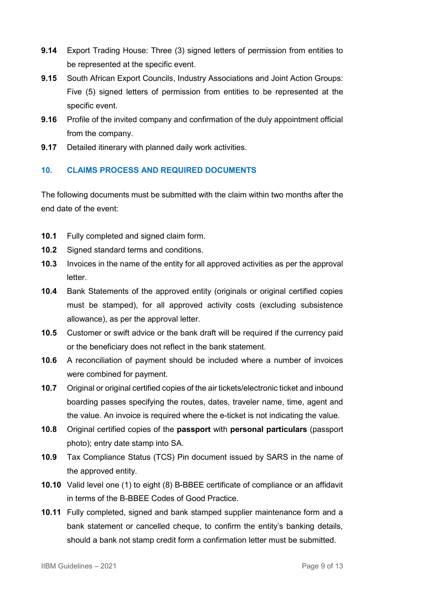- **9.14** Export Trading House: Three (3) signed letters of permission from entities to be represented at the specific event.
- **9.15** South African Export Councils, Industry Associations and Joint Action Groups: Five (5) signed letters of permission from entities to be represented at the specific event.
- **9.16** Profile of the invited company and confirmation of the duly appointment official from the company.
- **9.17** Detailed itinerary with planned daily work activities.

## <span id="page-8-0"></span>**10. CLAIMS PROCESS AND REQUIRED DOCUMENTS**

The following documents must be submitted with the claim within two months after the end date of the event:

- **10.1** Fully completed and signed claim form.
- **10.2** Signed standard terms and conditions.
- **10.3** Invoices in the name of the entity for all approved activities as per the approval letter.
- **10.4** Bank Statements of the approved entity (originals or original certified copies must be stamped), for all approved activity costs (excluding subsistence allowance), as per the approval letter.
- **10.5** Customer or swift advice or the bank draft will be required if the currency paid or the beneficiary does not reflect in the bank statement.
- **10.6** A reconciliation of payment should be included where a number of invoices were combined for payment.
- **10.7** Original or original certified copies of the air tickets/electronic ticket and inbound boarding passes specifying the routes, dates, traveler name, time, agent and the value. An invoice is required where the e-ticket is not indicating the value.
- **10.8** Original certified copies of the **passport** with **personal particulars** (passport photo); entry date stamp into SA.
- **10.9** Tax Compliance Status (TCS) Pin document issued by SARS in the name of the approved entity.
- **10.10** Valid level one (1) to eight (8) B-BBEE certificate of compliance or an affidavit in terms of the B-BBEE Codes of Good Practice.
- **10.11** Fully completed, signed and bank stamped supplier maintenance form and a bank statement or cancelled cheque, to confirm the entity's banking details, should a bank not stamp credit form a confirmation letter must be submitted.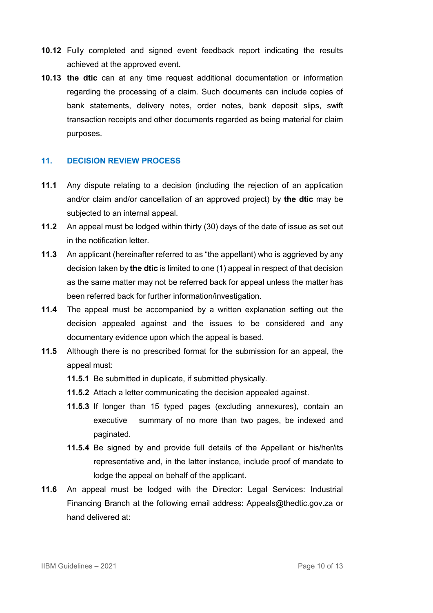- **10.12** Fully completed and signed event feedback report indicating the results achieved at the approved event.
- **10.13 the dtic** can at any time request additional documentation or information regarding the processing of a claim. Such documents can include copies of bank statements, delivery notes, order notes, bank deposit slips, swift transaction receipts and other documents regarded as being material for claim purposes.

#### <span id="page-9-0"></span>**11. DECISION REVIEW PROCESS**

- **11.1** Any dispute relating to a decision (including the rejection of an application and/or claim and/or cancellation of an approved project) by **the dtic** may be subjected to an internal appeal.
- **11.2** An appeal must be lodged within thirty (30) days of the date of issue as set out in the notification letter.
- **11.3** An applicant (hereinafter referred to as "the appellant) who is aggrieved by any decision taken by **the dtic** is limited to one (1) appeal in respect of that decision as the same matter may not be referred back for appeal unless the matter has been referred back for further information/investigation.
- **11.4** The appeal must be accompanied by a written explanation setting out the decision appealed against and the issues to be considered and any documentary evidence upon which the appeal is based.
- **11.5** Although there is no prescribed format for the submission for an appeal, the appeal must:
	- **11.5.1** Be submitted in duplicate, if submitted physically.
	- **11.5.2** Attach a letter communicating the decision appealed against.
	- **11.5.3** If longer than 15 typed pages (excluding annexures), contain an executive summary of no more than two pages, be indexed and paginated.
	- **11.5.4** Be signed by and provide full details of the Appellant or his/her/its representative and, in the latter instance, include proof of mandate to lodge the appeal on behalf of the applicant.
- **11.6** An appeal must be lodged with the Director: Legal Services: Industrial Financing Branch at the following email address: Appeals@thedtic.gov.za or hand delivered at: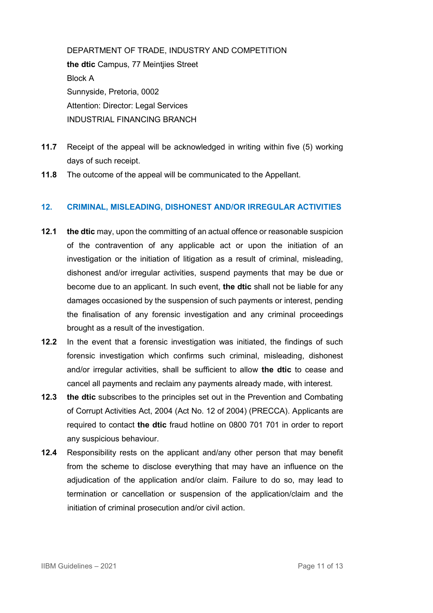DEPARTMENT OF TRADE, INDUSTRY AND COMPETITION **the dtic** Campus, 77 Meintjies Street Block A Sunnyside, Pretoria, 0002 Attention: Director: Legal Services INDUSTRIAL FINANCING BRANCH

- **11.7** Receipt of the appeal will be acknowledged in writing within five (5) working days of such receipt.
- **11.8** The outcome of the appeal will be communicated to the Appellant.

#### <span id="page-10-0"></span>**12. CRIMINAL, MISLEADING, DISHONEST AND/OR IRREGULAR ACTIVITIES**

- **12.1 the dtic** may, upon the committing of an actual offence or reasonable suspicion of the contravention of any applicable act or upon the initiation of an investigation or the initiation of litigation as a result of criminal, misleading, dishonest and/or irregular activities, suspend payments that may be due or become due to an applicant. In such event, **the dtic** shall not be liable for any damages occasioned by the suspension of such payments or interest, pending the finalisation of any forensic investigation and any criminal proceedings brought as a result of the investigation.
- **12.2** In the event that a forensic investigation was initiated, the findings of such forensic investigation which confirms such criminal, misleading, dishonest and/or irregular activities, shall be sufficient to allow **the dtic** to cease and cancel all payments and reclaim any payments already made, with interest.
- **12.3 the dtic** subscribes to the principles set out in the Prevention and Combating of Corrupt Activities Act, 2004 (Act No. 12 of 2004) (PRECCA). Applicants are required to contact **the dtic** fraud hotline on 0800 701 701 in order to report any suspicious behaviour.
- **12.4** Responsibility rests on the applicant and/any other person that may benefit from the scheme to disclose everything that may have an influence on the adjudication of the application and/or claim. Failure to do so, may lead to termination or cancellation or suspension of the application/claim and the initiation of criminal prosecution and/or civil action.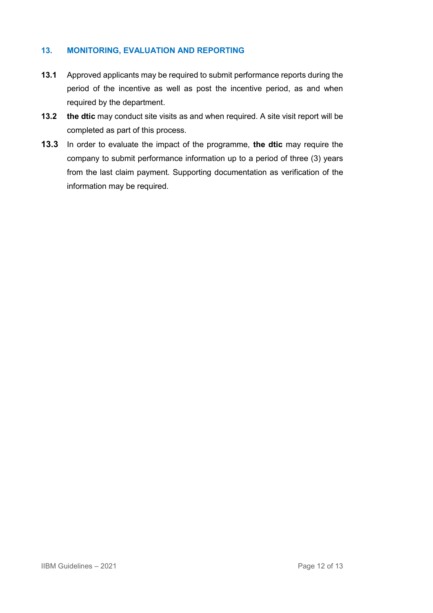#### <span id="page-11-0"></span>**13. MONITORING, EVALUATION AND REPORTING**

- **13.1** Approved applicants may be required to submit performance reports during the period of the incentive as well as post the incentive period, as and when required by the department.
- **13.2 the dtic** may conduct site visits as and when required. A site visit report will be completed as part of this process.
- **13.3** In order to evaluate the impact of the programme, **the dtic** may require the company to submit performance information up to a period of three (3) years from the last claim payment. Supporting documentation as verification of the information may be required.